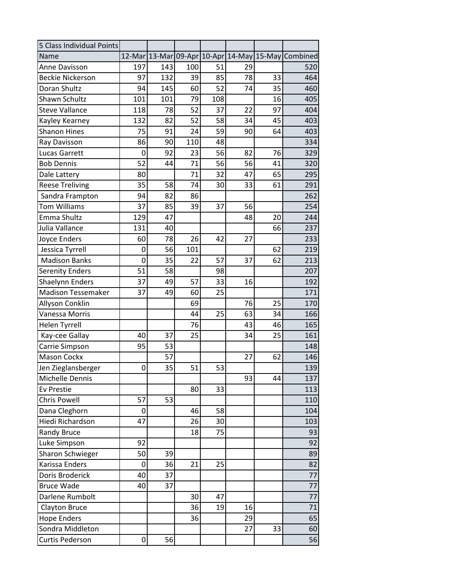| 5 Class Individual Points |     |     |     |     |    |    |                                                    |
|---------------------------|-----|-----|-----|-----|----|----|----------------------------------------------------|
| Name                      |     |     |     |     |    |    | 12-Mar 13-Mar 09-Apr 10-Apr 14-May 15-May Combined |
| <b>Anne Davisson</b>      | 197 | 143 | 100 | 51  | 29 |    | 520                                                |
| <b>Beckie Nickerson</b>   | 97  | 132 | 39  | 85  | 78 | 33 | 464                                                |
| Doran Shultz              | 94  | 145 | 60  | 52  | 74 | 35 | 460                                                |
| Shawn Schultz             | 101 | 101 | 79  | 108 |    | 16 | 405                                                |
| <b>Steve Vallance</b>     | 118 | 78  | 52  | 37  | 22 | 97 | 404                                                |
| Kayley Kearney            | 132 | 82  | 52  | 58  | 34 | 45 | 403                                                |
| <b>Shanon Hines</b>       | 75  | 91  | 24  | 59  | 90 | 64 | 403                                                |
| Ray Davisson              | 86  | 90  | 110 | 48  |    |    | 334                                                |
| <b>Lucas Garrett</b>      | 0   | 92  | 23  | 56  | 82 | 76 | 329                                                |
| <b>Bob Dennis</b>         | 52  | 44  | 71  | 56  | 56 | 41 | 320                                                |
| Dale Lattery              | 80  |     | 71  | 32  | 47 | 65 | 295                                                |
| <b>Reese Treliving</b>    | 35  | 58  | 74  | 30  | 33 | 61 | 291                                                |
| Sandra Frampton           | 94  | 82  | 86  |     |    |    | 262                                                |
| <b>Tom Williams</b>       | 37  | 85  | 39  | 37  | 56 |    | 254                                                |
| Emma Shultz               | 129 | 47  |     |     | 48 | 20 | 244                                                |
| Julia Vallance            | 131 | 40  |     |     |    | 66 | 237                                                |
| <b>Joyce Enders</b>       | 60  | 78  | 26  | 42  | 27 |    | 233                                                |
| Jessica Tyrrell           | 0   | 56  | 101 |     |    | 62 | 219                                                |
| <b>Madison Banks</b>      | 0   | 35  | 22  | 57  | 37 | 62 | 213                                                |
| <b>Serenity Enders</b>    | 51  | 58  |     | 98  |    |    | 207                                                |
| <b>Shaelynn Enders</b>    | 37  | 49  | 57  | 33  | 16 |    | 192                                                |
| <b>Madison Tessemaker</b> | 37  | 49  | 60  | 25  |    |    | 171                                                |
| Allyson Conklin           |     |     | 69  |     | 76 | 25 | 170                                                |
| Vanessa Morris            |     |     | 44  | 25  | 63 | 34 | 166                                                |
| <b>Helen Tyrrell</b>      |     |     | 76  |     | 43 | 46 | 165                                                |
| Kay-cee Gallay            | 40  | 37  | 25  |     | 34 | 25 | 161                                                |
| Carrie Simpson            | 95  | 53  |     |     |    |    | 148                                                |
| <b>Mason Cockx</b>        |     | 57  |     |     | 27 | 62 | 146                                                |
| Jen Zieglansberger        | 0   | 35  | 51  | 53  |    |    | 139                                                |
| Michelle Dennis           |     |     |     |     | 93 | 44 | 137                                                |
| Ev Prestie                |     |     | 80  | 33  |    |    | 113                                                |
| Chris Powell              | 57  | 53  |     |     |    |    | 110                                                |
| Dana Cleghorn             | 0   |     | 46  | 58  |    |    | 104                                                |
| Hiedi Richardson          | 47  |     | 26  | 30  |    |    | 103                                                |
| Randy Bruce               |     |     | 18  | 75  |    |    | 93                                                 |
| Luke Simpson              | 92  |     |     |     |    |    | 92                                                 |
| Sharon Schwieger          | 50  | 39  |     |     |    |    | 89                                                 |
| Karissa Enders            | 0   | 36  | 21  | 25  |    |    | 82                                                 |
| Doris Broderick           | 40  | 37  |     |     |    |    | 77                                                 |
| <b>Bruce Wade</b>         | 40  | 37  |     |     |    |    | 77                                                 |
| Darlene Rumbolt           |     |     | 30  | 47  |    |    | 77                                                 |
| <b>Clayton Bruce</b>      |     |     | 36  | 19  | 16 |    | 71                                                 |
| <b>Hope Enders</b>        |     |     | 36  |     | 29 |    | 65                                                 |
| Sondra Middleton          |     |     |     |     | 27 | 33 | 60                                                 |
| <b>Curtis Pederson</b>    | 0   | 56  |     |     |    |    | 56                                                 |